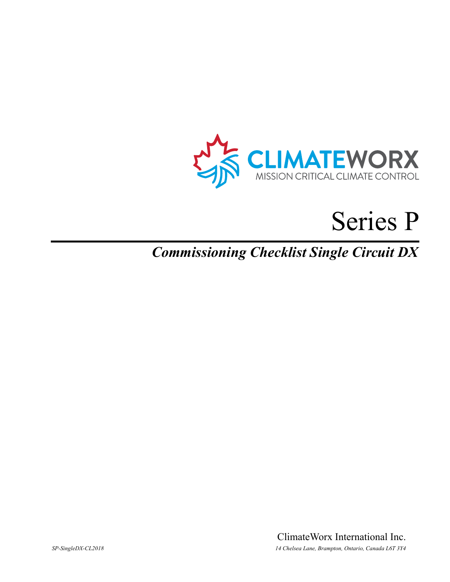

# Series P

# *Commissioning Checklist Single Circuit DX*

ClimateWorx International Inc. *SP-SingleDX-CL2018 14 Chelsea Lane, Brampton, Ontario, Canada L6T 3Y4*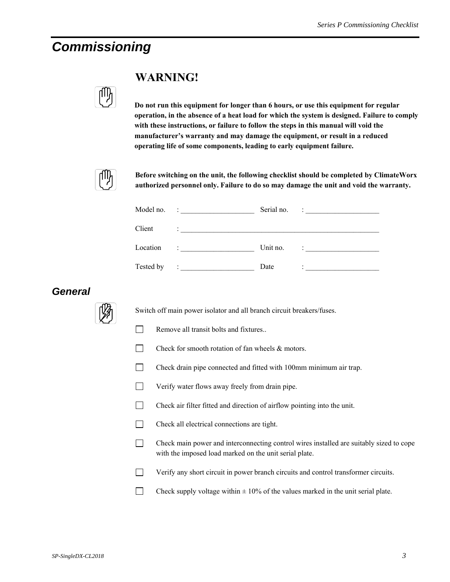## *Commissioning*



### **WARNING!**

**Do not run this equipment for longer than 6 hours, or use this equipment for regular operation, in the absence of a heat load for which the system is designed. Failure to comply with these instructions, or failure to follow the steps in this manual will void the manufacturer's warranty and may damage the equipment, or result in a reduced operating life of some components, leading to early equipment failure.** 



**Before switching on the unit, the following checklist should be completed by ClimateWorx authorized personnel only. Failure to do so may damage the unit and void the warranty.** 

|           | Model no. $\qquad \qquad :$                                                                              | Serial no. | $\frac{1}{2}$ . The contract of the contract of $\frac{1}{2}$                                                        |
|-----------|----------------------------------------------------------------------------------------------------------|------------|----------------------------------------------------------------------------------------------------------------------|
| Client    | A state of the state of the state of the state of the state of the state of the state of                 |            |                                                                                                                      |
| Location  | $\mathbf{F} = \mathbf{F} \times \mathbf{F}$ , and the set of $\mathbf{F} = \mathbf{F} \times \mathbf{F}$ | Unit no.   |                                                                                                                      |
| Tested by | ٠<br>A state of the state of the state of the                                                            | Date       | ٠<br>the contract of the contract of the contract of the contract of the contract of the contract of the contract of |

#### *General*



Switch off main power isolator and all branch circuit breakers/fuses.

- $\Box$  Remove all transit bolts and fixtures..
- $\Box$  Check for smooth rotation of fan wheels  $\&$  motors.
- Check drain pipe connected and fitted with 100mm minimum air trap.
- Verify water flows away freely from drain pipe.
- Check air filter fitted and direction of airflow pointing into the unit.
- Check all electrical connections are tight.
- Check main power and interconnecting control wires installed are suitably sized to cope with the imposed load marked on the unit serial plate.
- Verify any short circuit in power branch circuits and control transformer circuits.
- Check supply voltage within  $\pm 10\%$  of the values marked in the unit serial plate.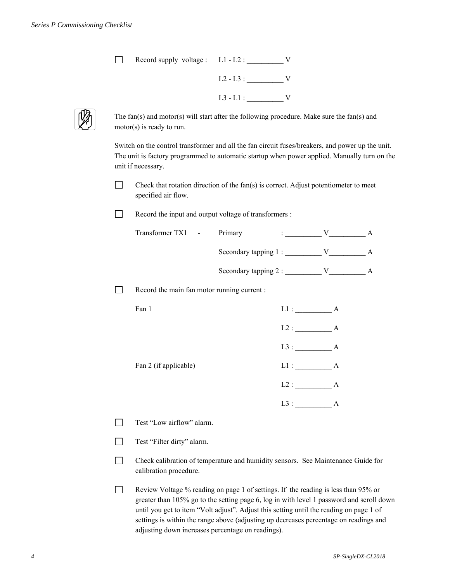| Record supply voltage : L1 - L2 : |             |  |
|-----------------------------------|-------------|--|
|                                   | $L2 - L3$ : |  |
|                                   | $L3 - L1$ : |  |



The fan(s) and motor(s) will start after the following procedure. Make sure the fan(s) and motor(s) is ready to run.

Switch on the control transformer and all the fan circuit fuses/breakers, and power up the unit. The unit is factory programmed to automatic startup when power applied. Manually turn on the unit if necessary.

Check that rotation direction of the fan(s) is correct. Adjust potentiometer to meet specified air flow.

Record the input and output voltage of transformers :

| Transformer TX1 - | Primary                |  |  |
|-------------------|------------------------|--|--|
|                   | Secondary tapping 1 :  |  |  |
|                   | Secondary tapping $2:$ |  |  |

 $\Box$  Record the main fan motor running current :

| Fan 1                 | L1:<br>А    |
|-----------------------|-------------|
|                       | $L2$ :<br>A |
|                       | $L3$ :<br>А |
| Fan 2 (if applicable) | L1:<br>А    |
|                       | $L2$ :<br>А |
|                       | $L3$ :<br>А |

Test "Low airflow" alarm.

Test "Filter dirty" alarm.

 Check calibration of temperature and humidity sensors. See Maintenance Guide for calibration procedure.

Review Voltage % reading on page 1 of settings. If the reading is less than 95% or greater than 105% go to the setting page 6, log in with level 1 password and scroll down until you get to item "Volt adjust". Adjust this setting until the reading on page 1 of settings is within the range above (adjusting up decreases percentage on readings and adjusting down increases percentage on readings).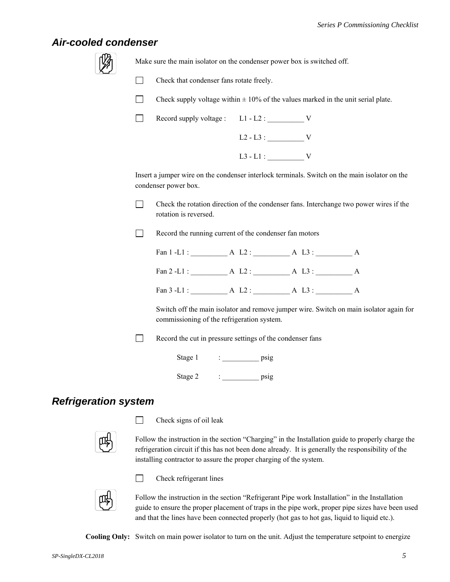#### *Air-cooled condenser*

Make sure the main isolator on the condenser power box is switched off.

Check that condenser fans rotate freely.

Check supply voltage within  $\pm 10\%$  of the values marked in the unit serial plate.

| Record supply voltage : L1 - L2 : |             |  |  |
|-----------------------------------|-------------|--|--|
|                                   | $L2 - L3$ : |  |  |
|                                   | $L3 - L1$ : |  |  |

Insert a jumper wire on the condenser interlock terminals. Switch on the main isolator on the condenser power box.

 $\Box$  Check the rotation direction of the condenser fans. Interchange two power wires if the rotation is reversed.

Record the running current of the condenser fan motors

Fan 1 -L1 : <br>A L2 : <br>A L3 : <br>A Fan 2 -L1 : \_\_\_\_\_\_\_\_\_\_ A L2 : \_\_\_\_\_\_\_\_\_\_ A L3 : \_\_\_\_\_\_\_\_\_\_ A Fan 3 -L1 : <br>A L2 : <br>A L3 : <br>A

 Switch off the main isolator and remove jumper wire. Switch on main isolator again for commissioning of the refrigeration system.

Record the cut in pressure settings of the condenser fans

Stage 1 : \_\_\_\_\_\_\_\_\_\_\_\_\_ psig

## Stage 2 : psig

#### *Refrigeration system*

 $\Box$  Check signs of oil leak

Follow the instruction in the section "Charging" in the Installation guide to properly charge the refrigeration circuit if this has not been done already. It is generally the responsibility of the installing contractor to assure the proper charging of the system.



**Check refrigerant lines** 

Follow the instruction in the section "Refrigerant Pipe work Installation" in the Installation guide to ensure the proper placement of traps in the pipe work, proper pipe sizes have been used and that the lines have been connected properly (hot gas to hot gas, liquid to liquid etc.).

**Cooling Only:** Switch on main power isolator to turn on the unit. Adjust the temperature setpoint to energize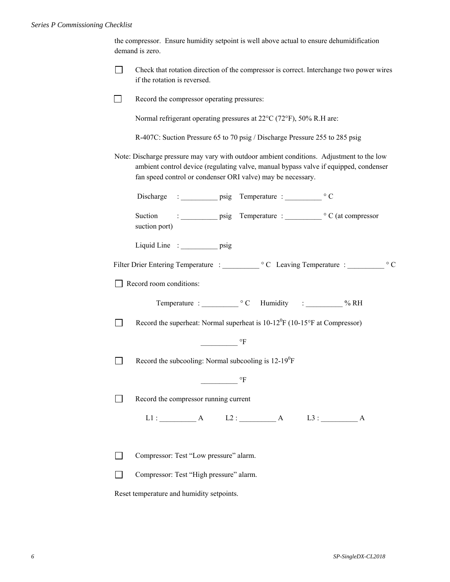|                | the compressor. Ensure humidity setpoint is well above actual to ensure dehumidification<br>demand is zero.                                                                                                                                     |  |  |  |  |
|----------------|-------------------------------------------------------------------------------------------------------------------------------------------------------------------------------------------------------------------------------------------------|--|--|--|--|
| $\mathsf{L}$   | Check that rotation direction of the compressor is correct. Interchange two power wires<br>if the rotation is reversed.                                                                                                                         |  |  |  |  |
|                | Record the compressor operating pressures:                                                                                                                                                                                                      |  |  |  |  |
|                | Normal refrigerant operating pressures at 22°C (72°F), 50% R.H are:                                                                                                                                                                             |  |  |  |  |
|                | R-407C: Suction Pressure 65 to 70 psig / Discharge Pressure 255 to 285 psig                                                                                                                                                                     |  |  |  |  |
|                | Note: Discharge pressure may vary with outdoor ambient conditions. Adjustment to the low<br>ambient control device (regulating valve, manual bypass valve if equipped, condenser<br>fan speed control or condenser ORI valve) may be necessary. |  |  |  |  |
|                |                                                                                                                                                                                                                                                 |  |  |  |  |
|                | Suction<br>suction port)                                                                                                                                                                                                                        |  |  |  |  |
|                | Liquid Line : psig                                                                                                                                                                                                                              |  |  |  |  |
|                | $\circ$ C                                                                                                                                                                                                                                       |  |  |  |  |
|                | Record room conditions:                                                                                                                                                                                                                         |  |  |  |  |
|                |                                                                                                                                                                                                                                                 |  |  |  |  |
| $\blacksquare$ | Record the superheat: Normal superheat is $10-12^{0}F(10-15^{o}F$ at Compressor)                                                                                                                                                                |  |  |  |  |
|                | $\mathrm{^{\circ}F}$                                                                                                                                                                                                                            |  |  |  |  |
|                | Record the subcooling: Normal subcooling is $12-19^0F$                                                                                                                                                                                          |  |  |  |  |
|                | °F                                                                                                                                                                                                                                              |  |  |  |  |
|                | Record the compressor running current                                                                                                                                                                                                           |  |  |  |  |
|                | $L1:$ A $L2:$ A $L3:$ A                                                                                                                                                                                                                         |  |  |  |  |
|                | Compressor: Test "Low pressure" alarm.                                                                                                                                                                                                          |  |  |  |  |
|                | Compressor: Test "High pressure" alarm.                                                                                                                                                                                                         |  |  |  |  |
|                | Reset temperature and humidity setpoints.                                                                                                                                                                                                       |  |  |  |  |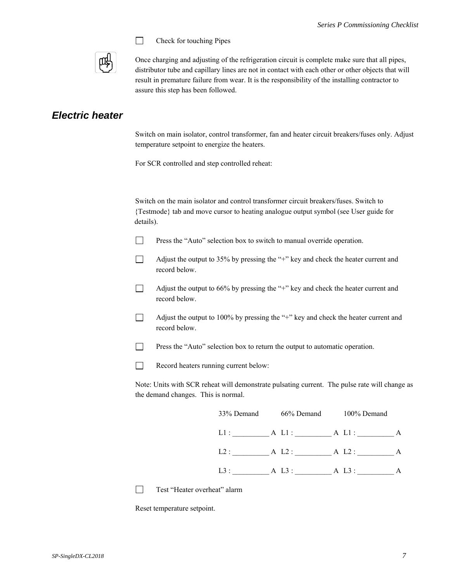

 $\Box$  Check for touching Pipes

Once charging and adjusting of the refrigeration circuit is complete make sure that all pipes, distributor tube and capillary lines are not in contact with each other or other objects that will result in premature failure from wear. It is the responsibility of the installing contractor to assure this step has been followed.

#### *Electric heater*

Switch on main isolator, control transformer, fan and heater circuit breakers/fuses only. Adjust temperature setpoint to energize the heaters.

For SCR controlled and step controlled reheat:

Switch on the main isolator and control transformer circuit breakers/fuses. Switch to {Testmode} tab and move cursor to heating analogue output symbol (see User guide for details).

- **Press the "Auto" selection box to switch to manual override operation.**
- $\Box$  Adjust the output to 35% by pressing the "+" key and check the heater current and record below.
- $\Box$  Adjust the output to 66% by pressing the "+" key and check the heater current and record below.
- $\Box$  Adjust the output to 100% by pressing the "+" key and check the heater current and record below.
- **Press the "Auto" selection box to return the output to automatic operation.**
- Record heaters running current below:

Note: Units with SCR reheat will demonstrate pulsating current. The pulse rate will change as the demand changes. This is normal.

| 33% Demand | 66% Demand | 100% Demand |   |
|------------|------------|-------------|---|
| L1:        | $A L1$ :   | A Ll:       | A |
| L2:        | A L2:      | A L2:       | A |
| $L3$ :     | A L3 :     | A L3:       |   |

Test "Heater overheat" alarm

Reset temperature setpoint.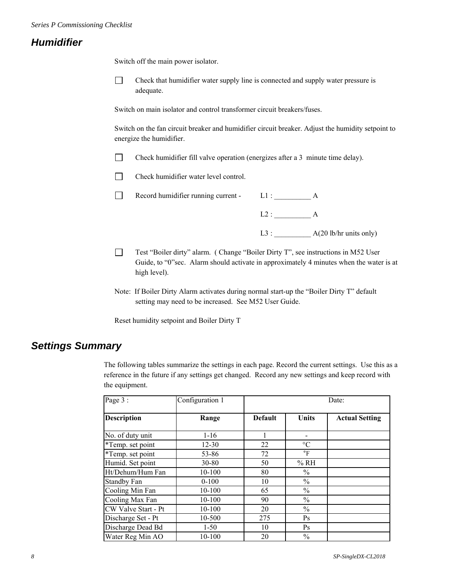#### *Humidifier*

Switch off the main power isolator.

 Check that humidifier water supply line is connected and supply water pressure is adequate.

Switch on main isolator and control transformer circuit breakers/fuses.

Switch on the fan circuit breaker and humidifier circuit breaker. Adjust the humidity setpoint to energize the humidifier.

- Check humidifier fill valve operation (energizes after a 3 minute time delay).
- $\Box$  Check humidifier water level control.
- Record humidifier running current L1 : \_\_\_\_\_\_\_\_\_\_ A
	- $L2:$  A
	- L3 : \_\_\_\_\_\_\_\_\_\_ A(20 lb/hr units only)
- Test "Boiler dirty" alarm. ( Change "Boiler Dirty T", see instructions in M52 User Guide, to "0"sec. Alarm should activate in approximately 4 minutes when the water is at high level).
- Note: If Boiler Dirty Alarm activates during normal start-up the "Boiler Dirty T" default setting may need to be increased. See M52 User Guide.

Reset humidity setpoint and Boiler Dirty T

#### *Settings Summary*

The following tables summarize the settings in each page. Record the current settings. Use this as a reference in the future if any settings get changed. Record any new settings and keep record with the equipment.

| Page 3 :            | Configuration 1 | Date:          |                 |                       |  |
|---------------------|-----------------|----------------|-----------------|-----------------------|--|
| <b>Description</b>  | Range           | <b>Default</b> | <b>Units</b>    | <b>Actual Setting</b> |  |
| No. of duty unit    | $1 - 16$        |                |                 |                       |  |
| *Temp. set point    | $12 - 30$       | 22             | $\rm ^{\circ}C$ |                       |  |
| *Temp. set point    | 53-86           | 72             | $\circ$ F       |                       |  |
| Humid. Set point    | $30 - 80$       | 50             | % RH            |                       |  |
| Ht/Dehum/Hum Fan    | 10-100          | 80             | $\%$            |                       |  |
| <b>Standby Fan</b>  | $0-100$         | 10             | $\frac{0}{0}$   |                       |  |
| Cooling Min Fan     | 10-100          | 65             | $\frac{0}{0}$   |                       |  |
| Cooling Max Fan     | 10-100          | 90             | $\%$            |                       |  |
| CW Valve Start - Pt | 10-100          | 20             | $\frac{0}{0}$   |                       |  |
| Discharge Set - Pt  | 10-500          | 275            | Ps              |                       |  |
| Discharge Dead Bd   | $1-50$          | 10             | Ps              |                       |  |
| Water Reg Min AO    | 10-100          | 20             | $\frac{0}{0}$   |                       |  |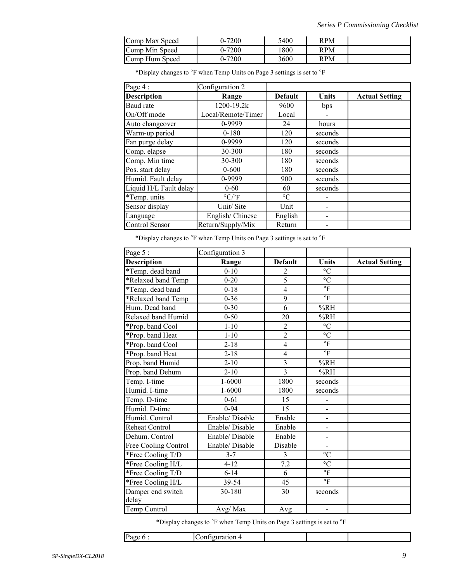| Comp Max Speed | 0-7200 | 5400 | RPM |  |
|----------------|--------|------|-----|--|
| Comp Min Speed | 0-7200 | 800  | RPM |  |
| Comp Hum Speed | 0-7200 | 3600 | RPM |  |

\*Display changes to °F when Temp Units on Page 3 settings is set to °F

| Page 4:                | Configuration 2                 |                 |         |                       |
|------------------------|---------------------------------|-----------------|---------|-----------------------|
| <b>Description</b>     | Range                           | <b>Default</b>  | Units   | <b>Actual Setting</b> |
| Baud rate              | 1200-19.2k                      | 9600            | bps     |                       |
| On/Off mode            | Local/Remote/Timer              | Local           |         |                       |
| Auto changeover        | 0-9999                          | 24              | hours   |                       |
| Warm-up period         | $0 - 180$                       | 120             | seconds |                       |
| Fan purge delay        | 0-9999                          | 120             | seconds |                       |
| Comp. elapse           | 30-300                          | 180             | seconds |                       |
| Comp. Min time         | 30-300                          | 180             | seconds |                       |
| Pos. start delay       | $0 - 600$                       | 180             | seconds |                       |
| Humid. Fault delay     | 0-9999                          | 900             | seconds |                       |
| Liquid H/L Fault delay | $0 - 60$                        | 60              | seconds |                       |
| *Temp. units           | $\rm ^{\circ} C/\rm ^{\circ} F$ | $\rm ^{\circ}C$ |         |                       |
| Sensor display         | Unit/Site                       | Unit            |         |                       |
| Language               | English/Chinese                 | English         |         |                       |
| Control Sensor         | Return/Supply/Mix               | Return          |         |                       |

\*Display changes to °F when Temp Units on Page 3 settings is set to °F

| Page 5:                    | Configuration 3 |                |                          |                       |
|----------------------------|-----------------|----------------|--------------------------|-----------------------|
| <b>Description</b>         | Range           | <b>Default</b> | <b>Units</b>             | <b>Actual Setting</b> |
| *Temp. dead band           | $0 - 10$        | 2              | $\rm ^{\circ}C$          |                       |
| *Relaxed band Temp         | $0 - 20$        | $\overline{5}$ | $\overline{C}$           |                       |
| *Temp. dead band           | $0 - 18$        | $\overline{4}$ | $\overline{\phantom{a}}$ |                       |
| *Relaxed band Temp         | $0 - 36$        | 9              | $\circ$ F                |                       |
| Hum. Dead band             | $0 - 30$        | 6              | %RH                      |                       |
| Relaxed band Humid         | $0 - 50$        | 20             | %RH                      |                       |
| *Prop. band Cool           | $1 - 10$        | $\overline{c}$ | $^{\circ}{\rm C}$        |                       |
| *Prop. band Heat           | $1 - 10$        | $\overline{2}$ | $\overline{C}$           |                       |
| *Prop. band Cool           | $2 - 18$        | $\overline{4}$ | $\mathrm{^{\circ}F}$     |                       |
| *Prop. band Heat           | $2 - 18$        | $\overline{4}$ | $\circ$ F                |                       |
| Prop. band Humid           | $2 - 10$        | $\overline{3}$ | %RH                      |                       |
| Prop. band Dehum           | $2 - 10$        | $\overline{3}$ | %RH                      |                       |
| Temp. I-time               | $1 - 6000$      | 1800           | seconds                  |                       |
| Humid. I-time              | $1 - 6000$      | 1800           | seconds                  |                       |
| Temp. D-time               | $0 - 61$        | 15             |                          |                       |
| Humid. D-time              | $0 - 94$        | 15             | $\overline{\phantom{0}}$ |                       |
| Humid. Control             | Enable/Disable  | Enable         | $\blacksquare$           |                       |
| <b>Reheat Control</b>      | Enable/Disable  | Enable         | -                        |                       |
| Dehum. Control             | Enable/Disable  | Enable         | $\overline{\phantom{0}}$ |                       |
| Free Cooling Control       | Enable/Disable  | Disable        | $\overline{a}$           |                       |
| *Free Cooling T/D          | $3 - 7$         | 3              | $\rm ^{\circ}C$          |                       |
| *Free Cooling H/L          | $4 - 12$        | 7.2            | $\rm ^{\circ}C$          |                       |
| *Free Cooling T/D          | $6 - 14$        | 6              | $\overline{\phantom{a}}$ |                       |
| *Free Cooling H/L          | 39-54           | 45             | $\mathrm{^{\circ}F}$     |                       |
| Damper end switch<br>delay | 30-180          | 30             | seconds                  |                       |
| Temp Control               | Avg/Max         | Avg            | $\overline{\phantom{0}}$ |                       |

\*Display changes to °F when Temp Units on Page 3 settings is set to °F

| . . |  |  |  |
|-----|--|--|--|
|     |  |  |  |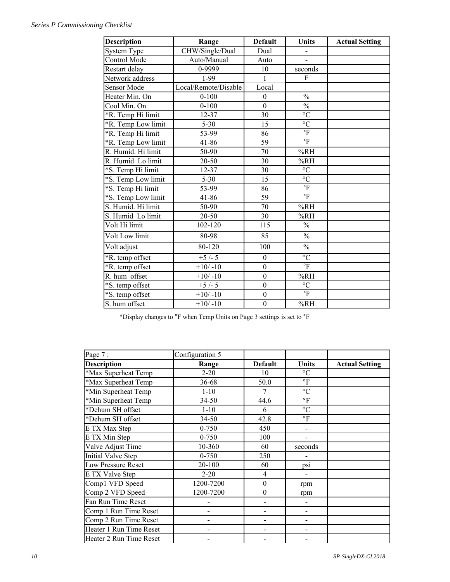#### *Series P Commissioning Checklist*

| <b>Description</b> | Range                | <b>Default</b>   | <b>Units</b>             | <b>Actual Setting</b> |
|--------------------|----------------------|------------------|--------------------------|-----------------------|
| <b>System Type</b> | CHW/Single/Dual      | Dual             |                          |                       |
| Control Mode       | Auto/Manual          | Auto             | $\overline{a}$           |                       |
| Restart delay      | 0-9999               | 10               | seconds                  |                       |
| Network address    | 1-99                 | $\mathbf{1}$     | $\mathbf{F}$             |                       |
| <b>Sensor Mode</b> | Local/Remote/Disable | Local            |                          |                       |
| Heater Min. On     | $0 - 100$            | $\mathbf{0}$     | $\frac{0}{0}$            |                       |
| Cool Min. On       | $0 - 100$            | $\overline{0}$   | $\overline{\frac{0}{0}}$ |                       |
| *R. Temp Hi limit  | 12-37                | 30               | $\overline{C}$           |                       |
| *R. Temp Low limit | $5 - 30$             | 15               | $\rm ^{\circ}C$          |                       |
| *R. Temp Hi limit  | 53-99                | 86               | $\mathsf{P}$             |                       |
| *R. Temp Low limit | 41-86                | 59               | $\mathrm{^{\circ}F}$     |                       |
| R. Humid. Hi limit | 50-90                | 70               | %RH                      |                       |
| R. Humid Lo limit  | 20-50                | 30               | %RH                      |                       |
| *S. Temp Hi limit  | $12 - 37$            | 30               | $\overline{C}$           |                       |
| *S. Temp Low limit | $5 - 30$             | 15               | $\overline{C}$           |                       |
| *S. Temp Hi limit  | 53-99                | 86               | $\mathrm{^{\circ}F}$     |                       |
| *S. Temp Low limit | 41-86                | 59               | $\mathrm{^{\circ}F}$     |                       |
| S. Humid. Hi limit | 50-90                | 70               | %RH                      |                       |
| S. Humid Lo limit  | 20-50                | 30               | %RH                      |                       |
| Volt Hi limit      | 102-120              | 115              | $\frac{0}{0}$            |                       |
| Volt Low limit     | 80-98                | 85               | $\frac{0}{0}$            |                       |
| Volt adjust        | 80-120               | 100              | $\frac{0}{0}$            |                       |
| *R. temp offset    | $+5/-5$              | $\overline{0}$   | $\rm ^{\circ}C$          |                       |
| *R. temp offset    | $+10/-10$            | $\overline{0}$   | $\circ$ F                |                       |
| R. hum offset      | $+10/-10$            | $\mathbf{0}$     | %RH                      |                       |
| *S. temp offset    | $+5/-5$              | $\overline{0}$   | $\rm ^{\circ}C$          |                       |
| *S. temp offset    | $+10/-10$            | $\boldsymbol{0}$ | $\mathrm{^{\circ}F}$     |                       |
| S. hum offset      | $+10/-10$            | $\overline{0}$   | %RH                      |                       |

\*Display changes to °F when Temp Units on Page 3 settings is set to °F

| Page 7:                   | Configuration 5 |                  |                          |                       |
|---------------------------|-----------------|------------------|--------------------------|-----------------------|
| <b>Description</b>        | Range           | <b>Default</b>   | Units                    | <b>Actual Setting</b> |
| *Max Superheat Temp       | $2 - 20$        | 10               | $\rm ^{\circ}C$          |                       |
| *Max Superheat Temp       | 36-68           | 50.0             | $\overline{\mathbf{F}}$  |                       |
| *Min Superheat Temp       | $1 - 10$        | 7                | $\rm ^{\circ}C$          |                       |
| *Min Superheat Temp       | $34 - 50$       | 44.6             | $\rm ^{\circ}F$          |                       |
| *Dehum SH offset          | $1 - 10$        | 6                | $\rm ^{\circ}C$          |                       |
| *Dehum SH offset          | $34 - 50$       | 42.8             | $\,{}^{\circ}\mathrm{F}$ |                       |
| E TX Max Step             | $0 - 750$       | 450              |                          |                       |
| E TX Min Step             | $0 - 750$       | 100              |                          |                       |
| Valve Adjust Time         | 10-360          | 60               | seconds                  |                       |
| <b>Initial Valve Step</b> | $0 - 750$       | 250              |                          |                       |
| Low Pressure Reset        | 20-100          | 60               | ps1                      |                       |
| E TX Valve Step           | $2 - 20$        | 4                |                          |                       |
| Comp1 VFD Speed           | 1200-7200       | $\boldsymbol{0}$ | rpm                      |                       |
| Comp 2 VFD Speed          | 1200-7200       | $\boldsymbol{0}$ | rpm                      |                       |
| Fan Run Time Reset        |                 |                  |                          |                       |
| Comp 1 Run Time Reset     |                 |                  |                          |                       |
| Comp 2 Run Time Reset     |                 |                  |                          |                       |
| Heater 1 Run Time Reset   |                 |                  |                          |                       |
| Heater 2 Run Time Reset   |                 |                  |                          |                       |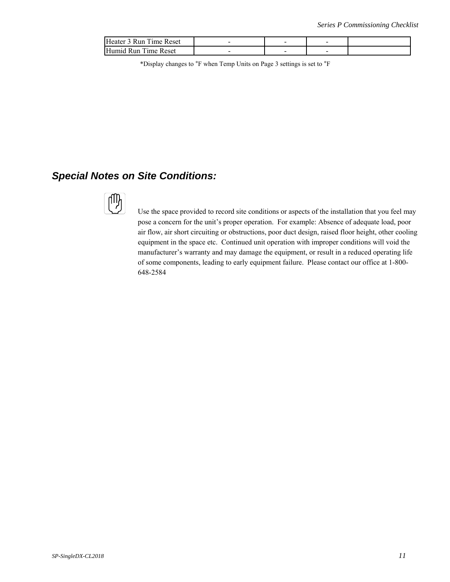| Heater 3 Run Time Reset |                          | - | - |  |
|-------------------------|--------------------------|---|---|--|
| Humid Run Time Reset    | $\overline{\phantom{a}}$ | - | - |  |

\*Display changes to °F when Temp Units on Page 3 settings is set to °F

#### *Special Notes on Site Conditions:*



 Use the space provided to record site conditions or aspects of the installation that you feel may pose a concern for the unit's proper operation. For example: Absence of adequate load, poor air flow, air short circuiting or obstructions, poor duct design, raised floor height, other cooling equipment in the space etc. Continued unit operation with improper conditions will void the manufacturer's warranty and may damage the equipment, or result in a reduced operating life of some components, leading to early equipment failure. Please contact our office at 1-800- 648-2584